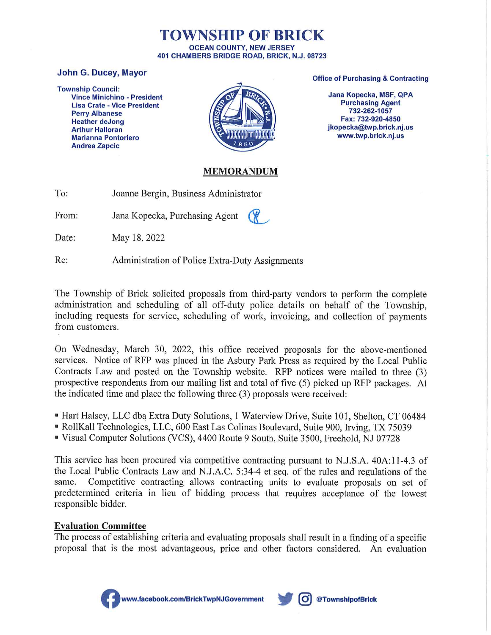#### TOWNSHIP OF BRICK **OCEAN COUNTY, NEW JERSEY** 401 CHAMBERS BRIDGE ROAD, BRICK, N.J. 08723

#### **John G. Ducey, Mayor**

**Township Council: Vince Minichino - President Lisa Crate - Vice President Perry Albanese Heather deJong Arthur Halloran Marianna Pontoriero Andrea Zapcic** 



#### **Office of Purchasing & Contracting**

Jana Kopecka, MSF, QPA **Purchasing Agent** 732-262-1057 Fax: 732-920-4850 jkopecka@twp.brick.nj.us www.twp.brick.nj.us

#### **MEMORANDUM**

| To: | Joanne Bergin, Business Administrator |
|-----|---------------------------------------|
|-----|---------------------------------------|

From: Jana Kopecka, Purchasing Agent

Date: May 18, 2022

Re: Administration of Police Extra-Duty Assignments

The Township of Brick solicited proposals from third-party vendors to perform the complete administration and scheduling of all off-duty police details on behalf of the Township, including requests for service, scheduling of work, invoicing, and collection of payments from customers.

On Wednesday, March 30, 2022, this office received proposals for the above-mentioned services. Notice of RFP was placed in the Asbury Park Press as required by the Local Public Contracts Law and posted on the Township website. RFP notices were mailed to three (3) prospective respondents from our mailing list and total of five (5) picked up RFP packages. At the indicated time and place the following three (3) proposals were received:

- Hart Halsey, LLC dba Extra Duty Solutions, 1 Waterview Drive, Suite 101, Shelton, CT 06484
- RollKall Technologies, LLC, 600 East Las Colinas Boulevard, Suite 900, Irving, TX 75039
- " Visual Computer Solutions (VCS), 4400 Route 9 South, Suite 3500, Freehold, NJ 07728

This service has been procured via competitive contracting pursuant to N.J.S.A. 40A:11-4.3 of the Local Public Contracts Law and N.J.A.C. 5:34-4 et seq. of the rules and regulations of the Competitive contracting allows contracting units to evaluate proposals on set of same. predetermined criteria in lieu of bidding process that requires acceptance of the lowest responsible bidder.

### **Evaluation Committee**

The process of establishing criteria and evaluating proposals shall result in a finding of a specific proposal that is the most advantageous, price and other factors considered. An evaluation



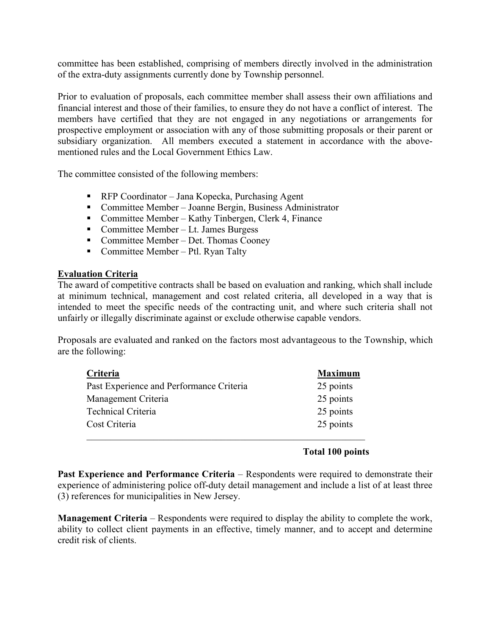committee has been established, comprising of members directly involved in the administration of the extra-duty assignments currently done by Township personnel.

Prior to evaluation of proposals, each committee member shall assess their own affiliations and financial interest and those of their families, to ensure they do not have a conflict of interest. The members have certified that they are not engaged in any negotiations or arrangements for prospective employment or association with any of those submitting proposals or their parent or subsidiary organization. All members executed a statement in accordance with the abovementioned rules and the Local Government Ethics Law.

The committee consisted of the following members:

- RFP Coordinator Jana Kopecka, Purchasing Agent
- Committee Member Joanne Bergin, Business Administrator
- Committee Member Kathy Tinbergen, Clerk 4, Finance
- Committee Member Lt. James Burgess
- Committee Member Det. Thomas Cooney
- Committee Member Ptl. Ryan Talty

#### Evaluation Criteria

The award of competitive contracts shall be based on evaluation and ranking, which shall include at minimum technical, management and cost related criteria, all developed in a way that is intended to meet the specific needs of the contracting unit, and where such criteria shall not unfairly or illegally discriminate against or exclude otherwise capable vendors.

Proposals are evaluated and ranked on the factors most advantageous to the Township, which are the following:

| Criteria                                 | <b>Maximum</b> |
|------------------------------------------|----------------|
| Past Experience and Performance Criteria | 25 points      |
| Management Criteria                      | 25 points      |
| Technical Criteria                       | 25 points      |
| Cost Criteria                            | 25 points      |
|                                          |                |

#### Total 100 points

Past Experience and Performance Criteria – Respondents were required to demonstrate their experience of administering police off-duty detail management and include a list of at least three (3) references for municipalities in New Jersey.

Management Criteria – Respondents were required to display the ability to complete the work, ability to collect client payments in an effective, timely manner, and to accept and determine credit risk of clients.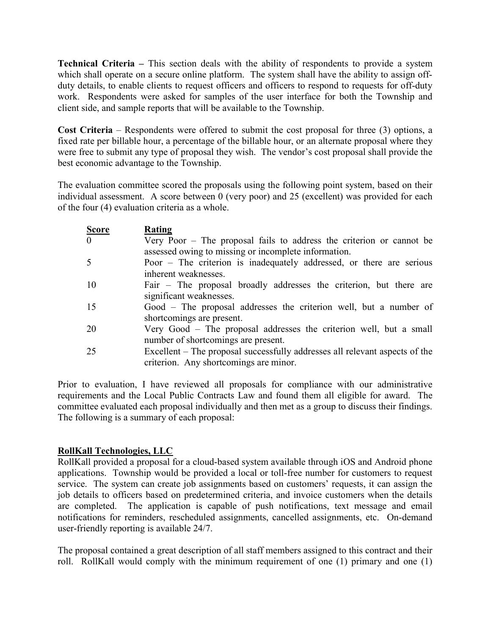Technical Criteria – This section deals with the ability of respondents to provide a system which shall operate on a secure online platform. The system shall have the ability to assign offduty details, to enable clients to request officers and officers to respond to requests for off-duty work. Respondents were asked for samples of the user interface for both the Township and client side, and sample reports that will be available to the Township.

Cost Criteria – Respondents were offered to submit the cost proposal for three (3) options, a fixed rate per billable hour, a percentage of the billable hour, or an alternate proposal where they were free to submit any type of proposal they wish. The vendor's cost proposal shall provide the best economic advantage to the Township.

The evaluation committee scored the proposals using the following point system, based on their individual assessment. A score between 0 (very poor) and 25 (excellent) was provided for each of the four (4) evaluation criteria as a whole.

| <b>Score</b>   | Rating                                                                                                                         |
|----------------|--------------------------------------------------------------------------------------------------------------------------------|
| $\overline{0}$ | Very Poor $-$ The proposal fails to address the criterion or cannot be<br>assessed owing to missing or incomplete information. |
| 5              | Poor – The criterion is inadequately addressed, or there are serious<br>inherent weaknesses.                                   |
| 10             | Fair – The proposal broadly addresses the criterion, but there are<br>significant weaknesses.                                  |
| 15             | Good – The proposal addresses the criterion well, but a number of<br>shortcomings are present.                                 |
| 20             | Very Good – The proposal addresses the criterion well, but a small<br>number of shortcomings are present.                      |
| 25             | Excellent – The proposal successfully addresses all relevant aspects of the<br>criterion. Any shortcomings are minor.          |

Prior to evaluation, I have reviewed all proposals for compliance with our administrative requirements and the Local Public Contracts Law and found them all eligible for award. The committee evaluated each proposal individually and then met as a group to discuss their findings. The following is a summary of each proposal:

#### RollKall Technologies, LLC

RollKall provided a proposal for a cloud-based system available through iOS and Android phone applications. Township would be provided a local or toll-free number for customers to request service. The system can create job assignments based on customers' requests, it can assign the job details to officers based on predetermined criteria, and invoice customers when the details are completed. The application is capable of push notifications, text message and email notifications for reminders, rescheduled assignments, cancelled assignments, etc. On-demand user-friendly reporting is available 24/7.

The proposal contained a great description of all staff members assigned to this contract and their roll. RollKall would comply with the minimum requirement of one (1) primary and one (1)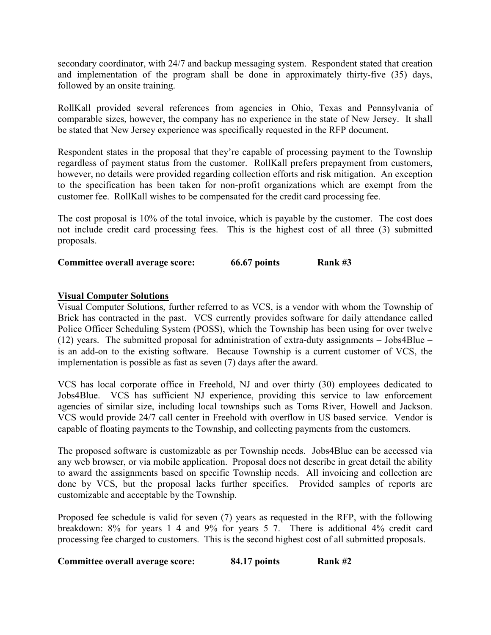secondary coordinator, with 24/7 and backup messaging system. Respondent stated that creation and implementation of the program shall be done in approximately thirty-five (35) days, followed by an onsite training.

RollKall provided several references from agencies in Ohio, Texas and Pennsylvania of comparable sizes, however, the company has no experience in the state of New Jersey. It shall be stated that New Jersey experience was specifically requested in the RFP document.

Respondent states in the proposal that they're capable of processing payment to the Township regardless of payment status from the customer. RollKall prefers prepayment from customers, however, no details were provided regarding collection efforts and risk mitigation. An exception to the specification has been taken for non-profit organizations which are exempt from the customer fee. RollKall wishes to be compensated for the credit card processing fee.

The cost proposal is 10% of the total invoice, which is payable by the customer. The cost does not include credit card processing fees. This is the highest cost of all three (3) submitted proposals.

Committee overall average score: 66.67 points Rank #3

#### Visual Computer Solutions

Visual Computer Solutions, further referred to as VCS, is a vendor with whom the Township of Brick has contracted in the past. VCS currently provides software for daily attendance called Police Officer Scheduling System (POSS), which the Township has been using for over twelve (12) years. The submitted proposal for administration of extra-duty assignments  $-$  Jobs4Blue  $$ is an add-on to the existing software. Because Township is a current customer of VCS, the implementation is possible as fast as seven (7) days after the award.

VCS has local corporate office in Freehold, NJ and over thirty (30) employees dedicated to Jobs4Blue. VCS has sufficient NJ experience, providing this service to law enforcement agencies of similar size, including local townships such as Toms River, Howell and Jackson. VCS would provide 24/7 call center in Freehold with overflow in US based service. Vendor is capable of floating payments to the Township, and collecting payments from the customers.

The proposed software is customizable as per Township needs. Jobs4Blue can be accessed via any web browser, or via mobile application. Proposal does not describe in great detail the ability to award the assignments based on specific Township needs. All invoicing and collection are done by VCS, but the proposal lacks further specifics. Provided samples of reports are customizable and acceptable by the Township.

Proposed fee schedule is valid for seven (7) years as requested in the RFP, with the following breakdown: 8% for years 1–4 and 9% for years 5–7. There is additional 4% credit card processing fee charged to customers. This is the second highest cost of all submitted proposals.

| Committee overall average score: | 84.17 points | Rank #2 |
|----------------------------------|--------------|---------|
|----------------------------------|--------------|---------|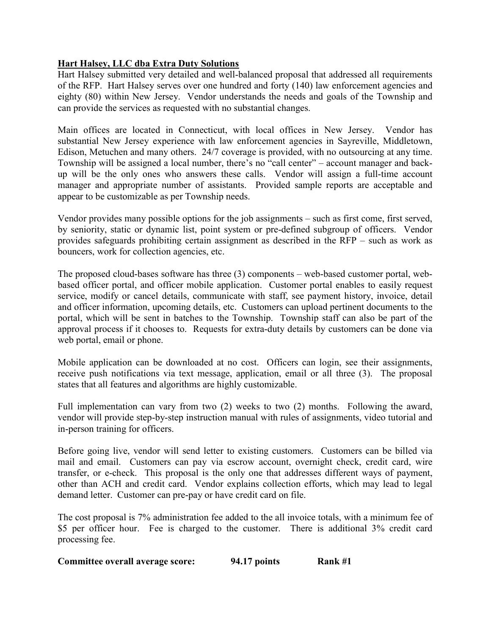### Hart Halsey, LLC dba Extra Duty Solutions

Hart Halsey submitted very detailed and well-balanced proposal that addressed all requirements of the RFP. Hart Halsey serves over one hundred and forty (140) law enforcement agencies and eighty (80) within New Jersey. Vendor understands the needs and goals of the Township and can provide the services as requested with no substantial changes.

Main offices are located in Connecticut, with local offices in New Jersey. Vendor has substantial New Jersey experience with law enforcement agencies in Sayreville, Middletown, Edison, Metuchen and many others. 24/7 coverage is provided, with no outsourcing at any time. Township will be assigned a local number, there's no "call center" – account manager and backup will be the only ones who answers these calls. Vendor will assign a full-time account manager and appropriate number of assistants. Provided sample reports are acceptable and appear to be customizable as per Township needs.

Vendor provides many possible options for the job assignments – such as first come, first served, by seniority, static or dynamic list, point system or pre-defined subgroup of officers. Vendor provides safeguards prohibiting certain assignment as described in the RFP – such as work as bouncers, work for collection agencies, etc.

The proposed cloud-bases software has three (3) components – web-based customer portal, webbased officer portal, and officer mobile application. Customer portal enables to easily request service, modify or cancel details, communicate with staff, see payment history, invoice, detail and officer information, upcoming details, etc. Customers can upload pertinent documents to the portal, which will be sent in batches to the Township. Township staff can also be part of the approval process if it chooses to. Requests for extra-duty details by customers can be done via web portal, email or phone.

Mobile application can be downloaded at no cost. Officers can login, see their assignments, receive push notifications via text message, application, email or all three (3). The proposal states that all features and algorithms are highly customizable.

Full implementation can vary from two (2) weeks to two (2) months. Following the award, vendor will provide step-by-step instruction manual with rules of assignments, video tutorial and in-person training for officers.

Before going live, vendor will send letter to existing customers. Customers can be billed via mail and email. Customers can pay via escrow account, overnight check, credit card, wire transfer, or e-check. This proposal is the only one that addresses different ways of payment, other than ACH and credit card. Vendor explains collection efforts, which may lead to legal demand letter. Customer can pre-pay or have credit card on file.

The cost proposal is 7% administration fee added to the all invoice totals, with a minimum fee of \$5 per officer hour. Fee is charged to the customer. There is additional 3% credit card processing fee.

| Committee overall average score: | 94.17 points | Rank #1 |
|----------------------------------|--------------|---------|
|----------------------------------|--------------|---------|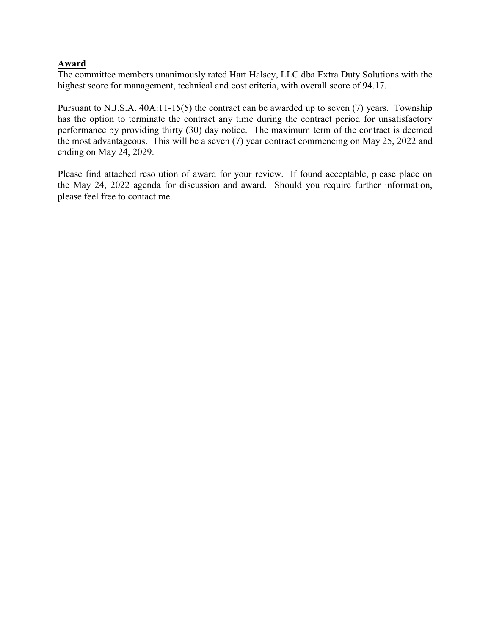### Award

The committee members unanimously rated Hart Halsey, LLC dba Extra Duty Solutions with the highest score for management, technical and cost criteria, with overall score of 94.17.

Pursuant to N.J.S.A. 40A:11-15(5) the contract can be awarded up to seven (7) years. Township has the option to terminate the contract any time during the contract period for unsatisfactory performance by providing thirty (30) day notice. The maximum term of the contract is deemed the most advantageous. This will be a seven (7) year contract commencing on May 25, 2022 and ending on May 24, 2029.

Please find attached resolution of award for your review. If found acceptable, please place on the May 24, 2022 agenda for discussion and award. Should you require further information, please feel free to contact me.